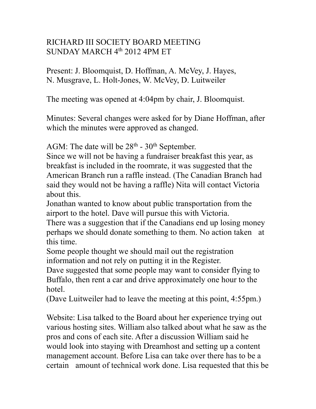## RICHARD III SOCIETY BOARD MEETING SUNDAY MARCH 4<sup>th</sup> 2012 4PM ET

Present: J. Bloomquist, D. Hoffman, A. McVey, J. Hayes, N. Musgrave, L. Holt-Jones, W. McVey, D. Luitweiler

The meeting was opened at 4:04pm by chair, J. Bloomquist.

Minutes: Several changes were asked for by Diane Hoffman, after which the minutes were approved as changed.

AGM: The date will be  $28<sup>th</sup>$  -  $30<sup>th</sup>$  September.

Since we will not be having a fundraiser breakfast this year, as breakfast is included in the roomrate, it was suggested that the American Branch run a raffle instead. (The Canadian Branch had said they would not be having a raffle) Nita will contact Victoria about this.

Jonathan wanted to know about public transportation from the airport to the hotel. Dave will pursue this with Victoria.

There was a suggestion that if the Canadians end up losing money perhaps we should donate something to them. No action taken at this time.

Some people thought we should mail out the registration information and not rely on putting it in the Register.

Dave suggested that some people may want to consider flying to Buffalo, then rent a car and drive approximately one hour to the hotel.

(Dave Luitweiler had to leave the meeting at this point, 4:55pm.)

Website: Lisa talked to the Board about her experience trying out various hosting sites. William also talked about what he saw as the pros and cons of each site. After a discussion William said he would look into staying with Dreamhost and setting up a content management account. Before Lisa can take over there has to be a certain amount of technical work done. Lisa requested that this be